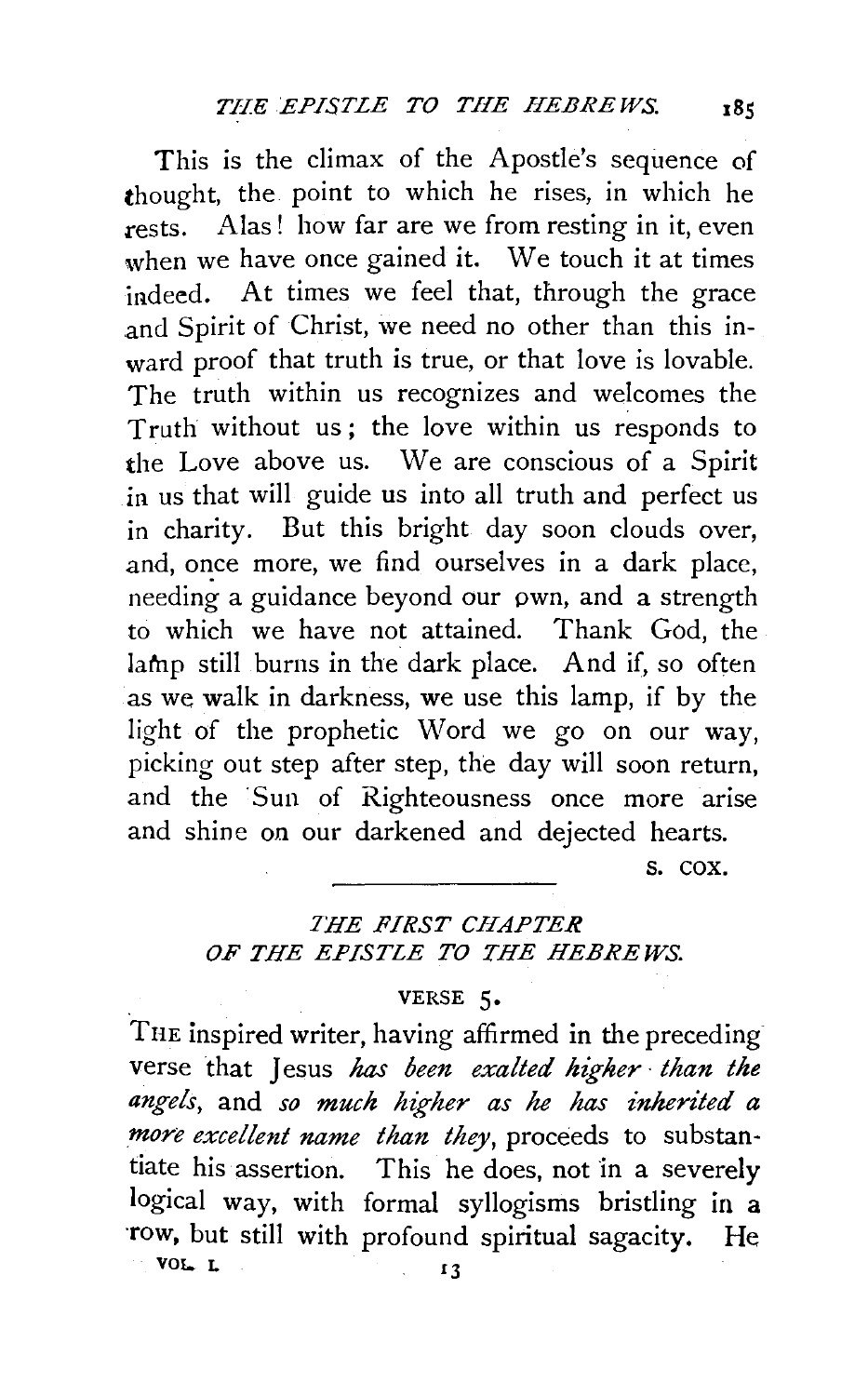This is the climax of the Apostle's sequence of thought, the point to which he rises, in which he rests. Alas! how far are we from resting in it, even when we have once gained it. We touch it at times indeed. At times we feel that, through the grace and Spirit of Christ, we need no other than this inward proof that truth is true, or that love is lovable. The truth within us recognizes and welcomes the Truth without us; the love within us responds to the Love above us. We are conscious of a Spirit in us that will guide us into all truth and perfect us in charity. But this bright day soon clouds over, and, once more, we find ourselves in a dark place, needing a guidance beyond our pwn, and a strength to which we have not attained. Thank God, the lamp still burns in the dark place. And if, so often as we walk in darkness, we use this lamp, if by the light of the prophetic Word we go on our way, picking out step after step, the day will soon return, and the Sun of Righteousness once more arise and shine on our darkened and dejected hearts.

s. cox.

## *THE FIRST CHAPTER OF THE EPISTLE TO THE HEBREWS.*

## VERSE 5•

THE inspired writer, having affirmed in the preceding verse that Jesus has *been exalted higher* · *than the angels,* and *so much higher as* he *has inherited a more excellent name than they,* proceeds to substantiate his assertion. This he does, not in a severely logical way, with formal syllogisms bristling in a ·row, but still with profound spiritual sagacity. He VOL. L  $\qquad \qquad$  13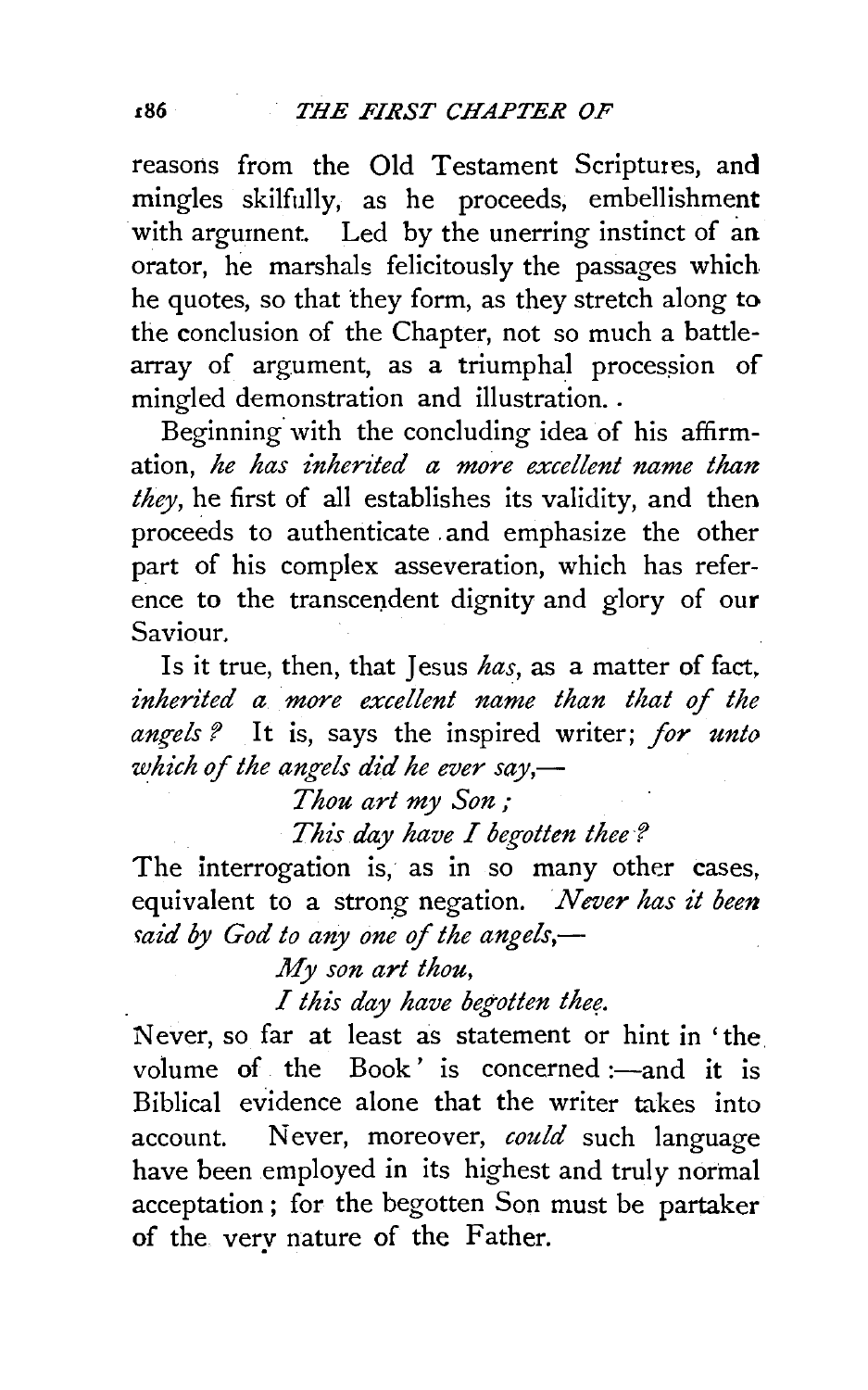reasons from the Old Testament Scriptures, and mingles skilfully, as he proceeds, embellishment with argument. Led by the unerring instinct of an orator, he marshals felicitously the passages which he quotes, so that they form, as they stretch along to the conclusion of the Chapter, not so much a battlearray of argument, as a triumphal procession of mingled demonstration and illustration ..

Beginning. with the concluding idea of his affirmation, *he has inherited a more excellent name than they,* he first of all establishes its validity, and then proceeds to authenticate . and emphasize the other part of his complex asseveration, which has reference to the transcendent dignity and glory of our Saviour.

Is it true, then, that Jesus *has,* as a matter of fact, *inherited a more excellent name than that of the*  angels? It is, says the inspired writer; for unto *which* of *the angels did he ever say,-*

*Thou art my Son* ;

*This day have I begotten thee ?* 

The interrogation is, as in so many other cases, equivalent to a strong negation. *Never has it been raid by God to any one of the angels,—* 

*My son art thou,* 

*I this day have begotten thef!.* 

Never, so far at least as statement or hint in 'the. volume of the Book' is concerned  $:$  -and it is Biblical evidence alone that the writer takes into account. Never, moreover, *could* such language have been employed in its highest and truly normal acceptation ; for the begotten Son must be partaker of the very nature of the Father.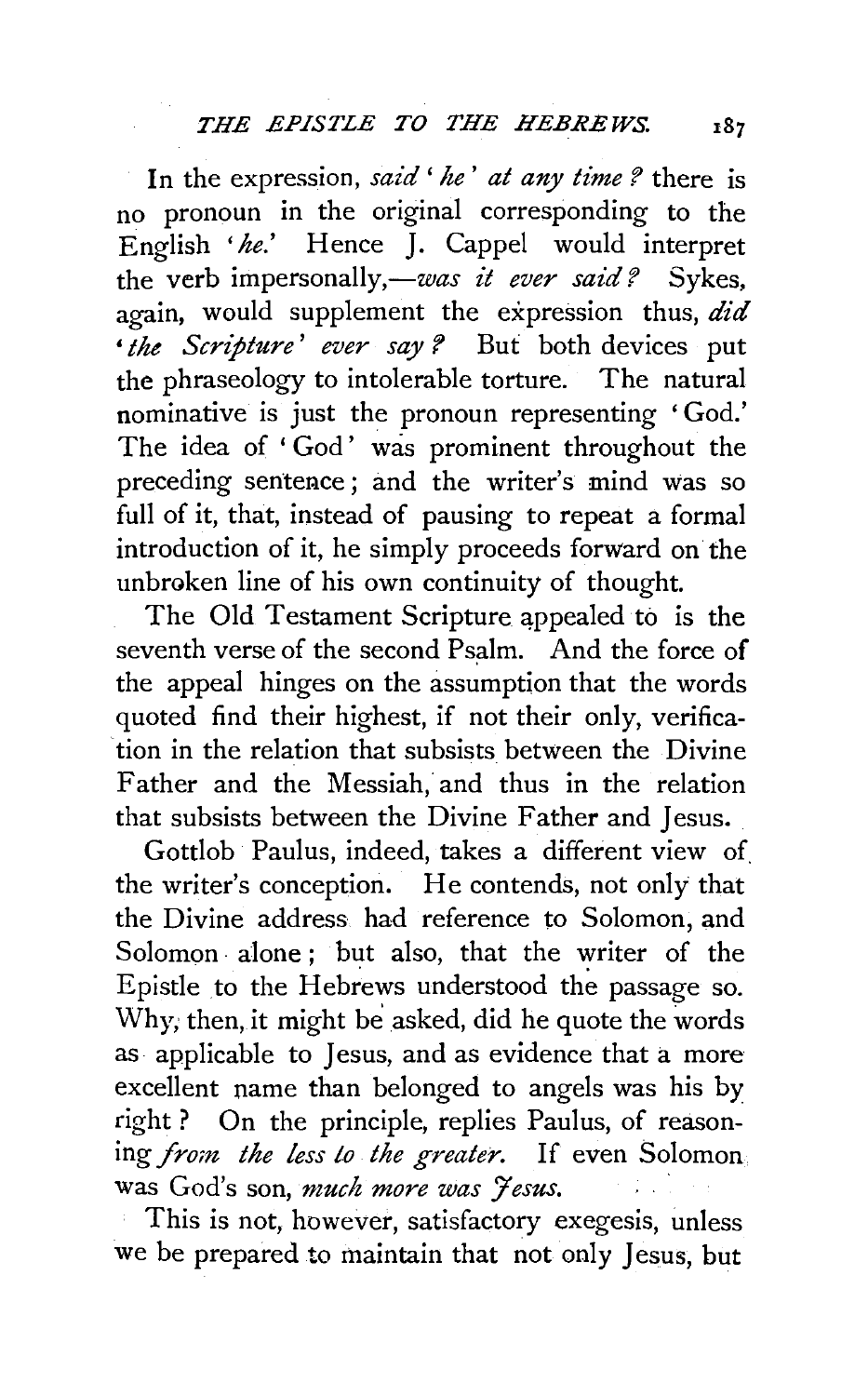In the expression, *said' he' at any time?* there is no pronoun in the original corresponding to the English *'he.'* Hence J. Cappel would interpret the verb impersonally,-was *it ever said?* Sykes, again, would supplement the expression thus, *did*  • *the Scripture' ever say ?* But both devices put the phraseology to intolerable torture. The natural nominative is just the pronoun representing 'God.' The idea of 'God' was prominent throughout the preceding sentence; and the writer's mind was so full of it, that, instead of pausing to repeat a formal introduction of it, he simply proceeds forward on the unbroken line of his own continuity of thought.

The Old Testament Scripture appealed to is the seventh verse of the second Psalm. And the force of the appeal hinges on the assumption that the words quoted find their highest, if not their only, verification in the relation that subsists between the Divine Father and the Messiah, and thus in the relation that subsists between the Divine Father and Jesus.

Gottlob Paulus, indeed, takes a different view of. the writer's conception. He contends, not only that the Divine address had reference to Solomon, and Solomon alone; but also, that the writer of the Epistle to the Hebrews understood the passage so. Why, then, it might be asked, did he quote the words as applicable to Jesus, and as evidence that a more excellent name than belonged to angels was his by right ? On the principle, replies Paulus, of reasoning *from the less to the greater*. If even Solomon was God's son, *much more was 7 esus.* 

This is not, however, satisfactory exegesis, unless we be prepared to maintain that not only Jesus, but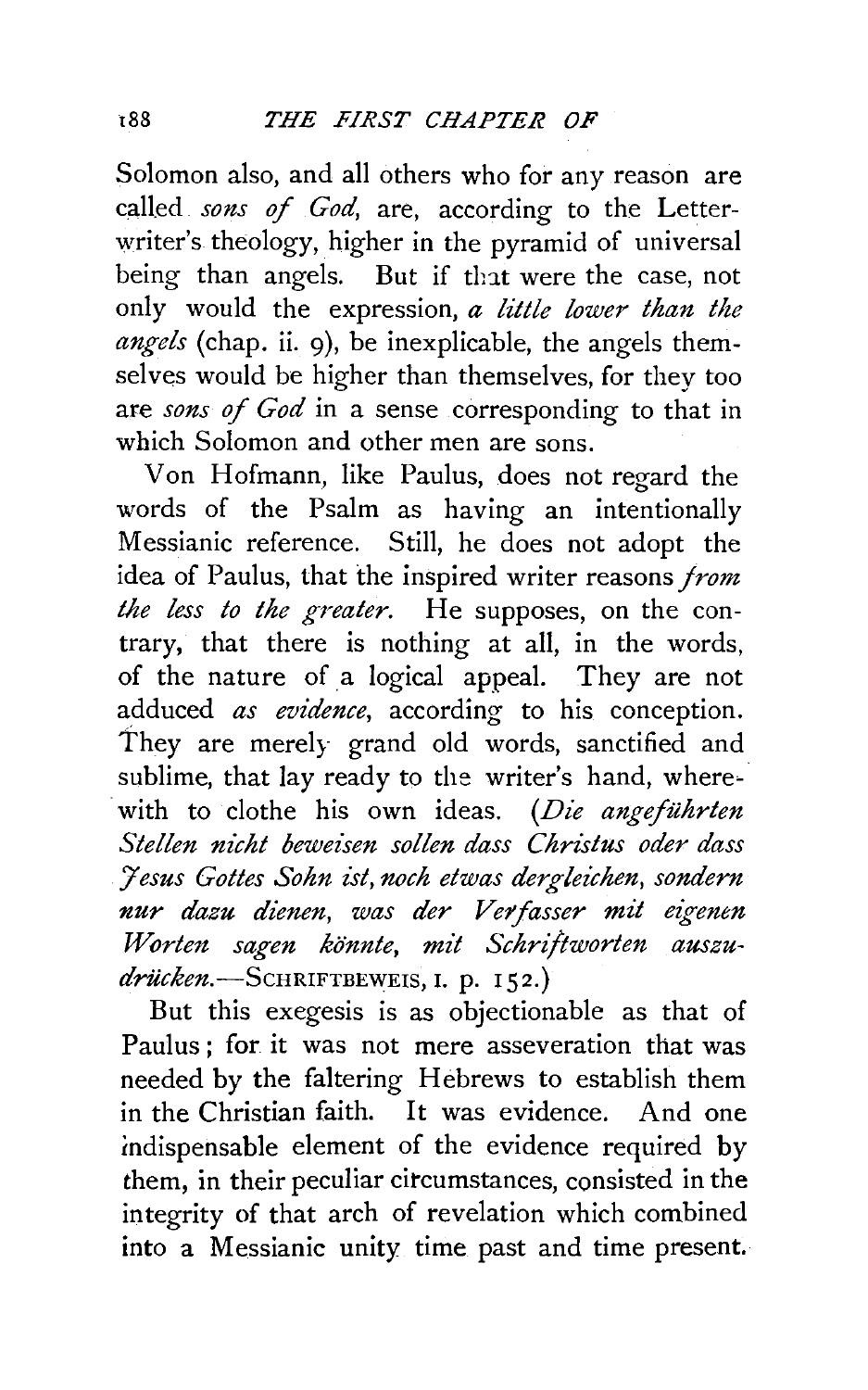Solomon also, and all others who for any reason are called *sons of God*, are, according to the Letterwriter's theology, higher in the pyramid of universal being than angels. But if that were the case, not only would the expression, *a little lower than the angels* (chap. ii. 9), be inexplicable, the angels themselves would be higher than themselves, for they too are *sons of God* in a sense corresponding to that in which Solomon and other men are sons.

Von Hofmann, like Paulus, does not regard the words of the Psalm as having an intentionally Messianic reference. Still, he does not adopt the idea of Paulus, that the inspired writer reasons *from the less to the greater.* He supposes, on the contrary, that there is nothing at all, in the words, of the nature of a logical appeal. They are not adduced *as evidence,* according to his conception. They are merely grand old words, sanctified and sublime, that lay ready to the writer's hand, where- . with to clothe his own ideas. *(Die angefiihrten Stellen nicht beweisen sollen dass Christus oder dass '.Jesus Gottes Sohn zst, noch etwas dergleichen, sondern nur dazu dienen, was der Vetfasser m£t ezgenen*  Worten sagen könnte, mit Schriftworten auszu*driicken.-ScHRIFTBEWEIS,* I. p. 152.)

But this exegesis is as objectionable as that of Paulus; for it was not mere asseveration that was needed by the faltering Hebrews to establish them in the Christian faith. It was evidence. And one indispensable element of the evidence required by them, in their peculiar circumstances, consisted in the integrity of that arch of revelation which combined into a Messianic unity time past and time present.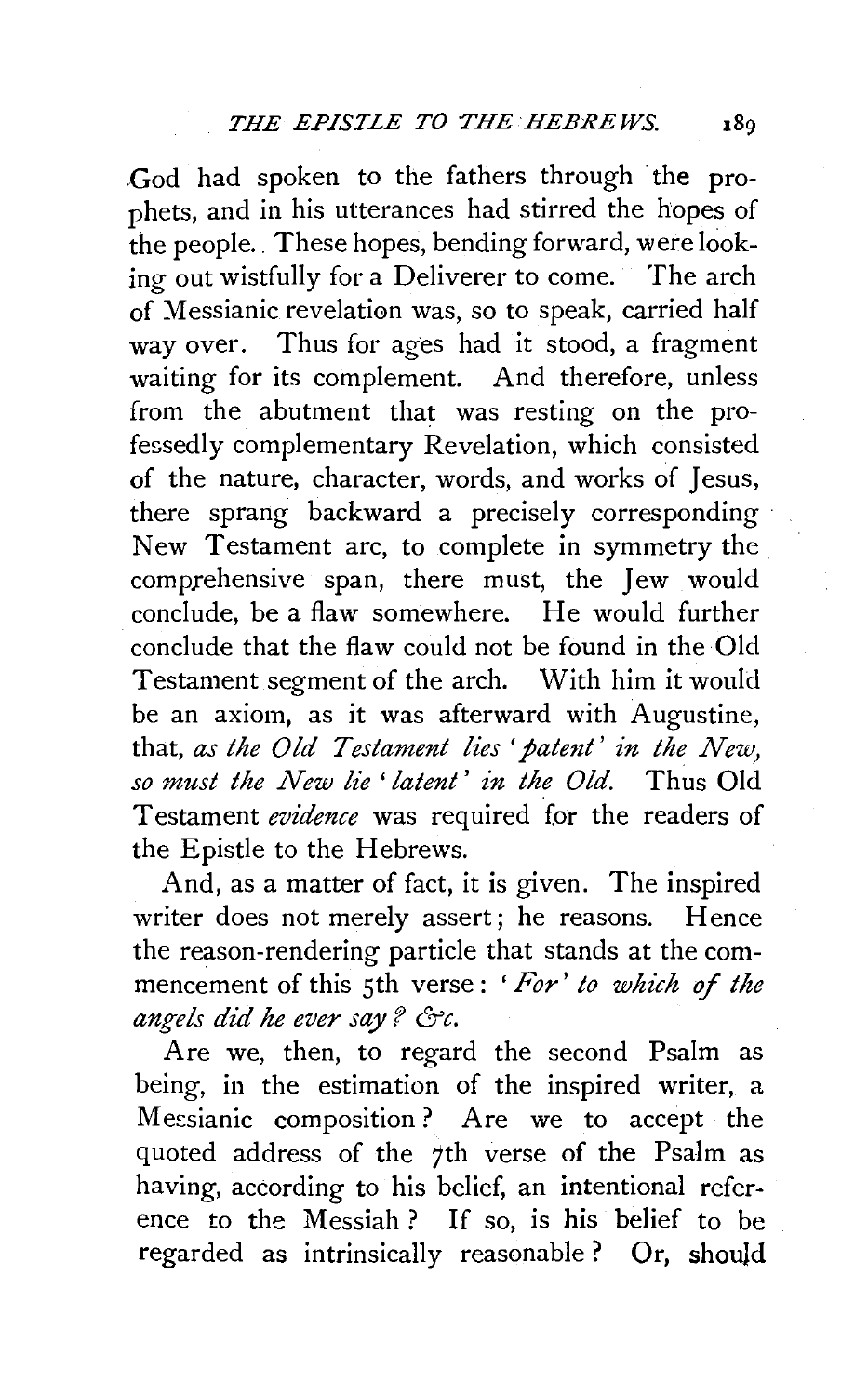.God had spoken to the fathers through the prophets, and in his utterances had stirred the hopes of the people. These hopes, bending forward, were looking out wistfully for a Deliverer to come. The arch of Messianic revelation was, so to speak, carried half way over. Thus for ages had it stood, a fragment waiting for its complement. And therefore, unless from the abutment that was resting on the professedly complementary Revelation, which consisted of the nature, character, words, and works of Jesus, there sprang backward a precisely corresponding New Testament arc, to complete in symmetry the comprehensive span, there must, the Jew would conclude, be a flaw somewhere. He would further conclude that the flaw could not be found in the Old Testament segment of the arch. With him it would be an axiom, as it was afterward with Augustine, that, *as the Old Testament lies 'patent' in the New*, so must the New lie 'latent' in the Old. Thus Old. Testament *evidence* was required for the readers of the Epistle to the Hebrews.

And, as a matter of fact, it is given. The inspired writer does not merely assert; he reasons. Hence the reason-rendering particle that stands at the commencement of this 5th verse : *'For' to which of the angels di'd he ever say* ? *&c.* 

Are we, then, to regard the second Psalm as being, in the estimation of the inspired writer, a Messianic composition? Are we to accept the quoted address of the 7th verse of the Psalm as having, according to his belief, an intentional reference to the Messiah? If so, is his belief to be regarded as intrinsically reasonable ? Or, should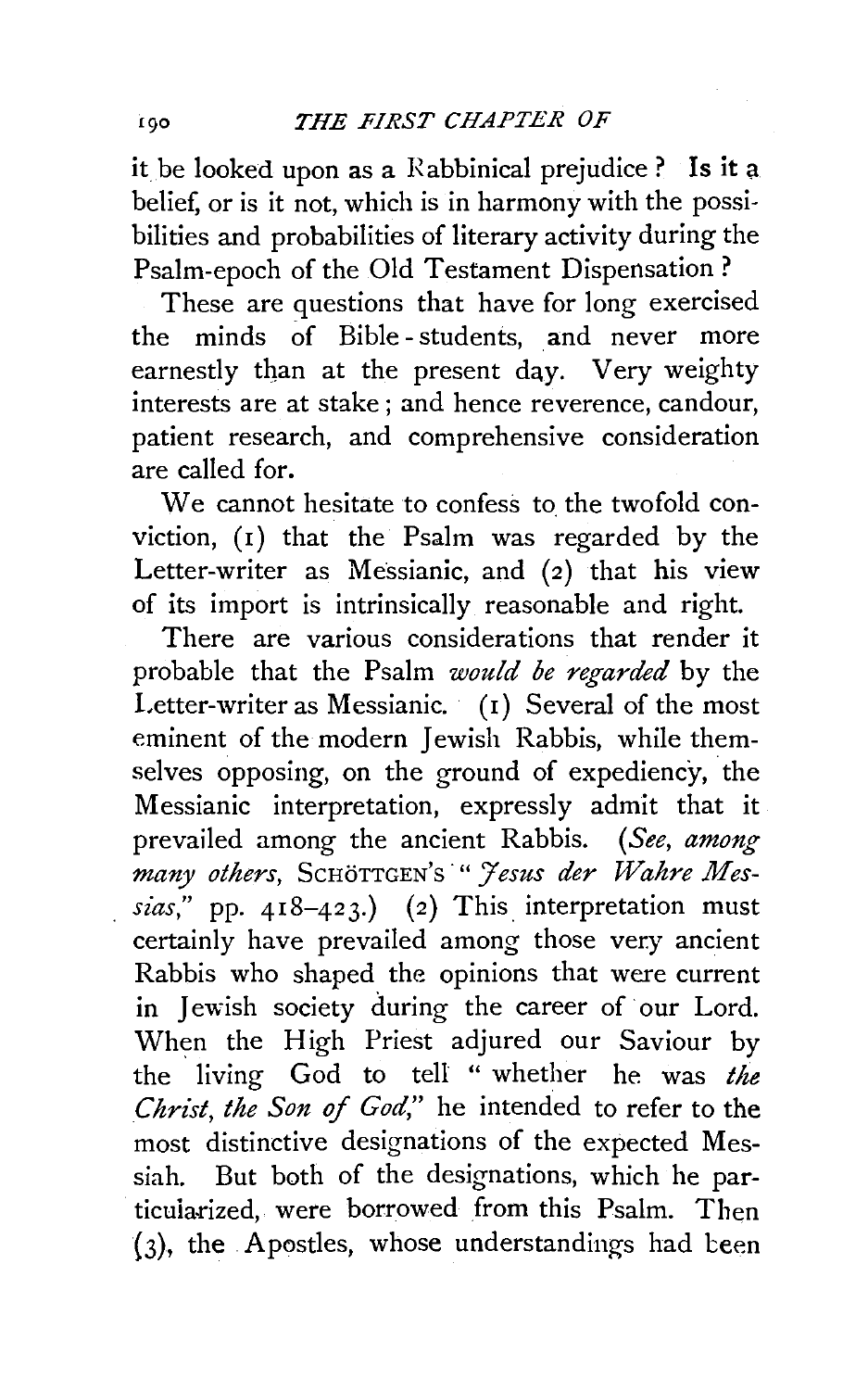it be looked upon as a Rabbinical prejudice ? Is it a belief, or is it not, which is in harmony with the possibilities and probabilities of literary activity during the Psalm-epoch of the Old Testament Dispensation?

These are questions that have for long exercised the minds of Bible - students, and never more earnestly than at the present day. Very weighty interests are at stake ; and hence reverence, candour, patient research, and comprehensive consideration are called for.

We cannot hesitate to confess to the twofold conviction, (1) that the Psalm was regarded by the Letter-writer as Messianic, and (2) that his view of its import is intrinsically reasonable and right.

There are various considerations that render it probable that the Psalm *would be regarded* by the Letter-writer as Messianic. (1) Several of the most eminent of the modern Jewish Rabbis, while themselves opposing, on the ground of expediency, the Messianic interpretation, expressly admit that it prevailed among the ancient Rabbis. *(See, among many others,* ScHoTTGEN's *·"'Jesus der Wahre Messias,"* pp. 418-423.) (2) This interpretation must certainly have prevailed among those very ancient Rabbis who shaped the opinions that were current in Jewish society during the career of our Lord. When the High Priest adjured our Saviour by the living God to tell " whether he was *the Christ, the Son of God,"* he intended to refer to the most distinctive designations of the expected Messiah. But both of the designations, which he particularized, were borrowed from this Psalm. Then  $(3)$ , the Apostles, whose understandings had been

190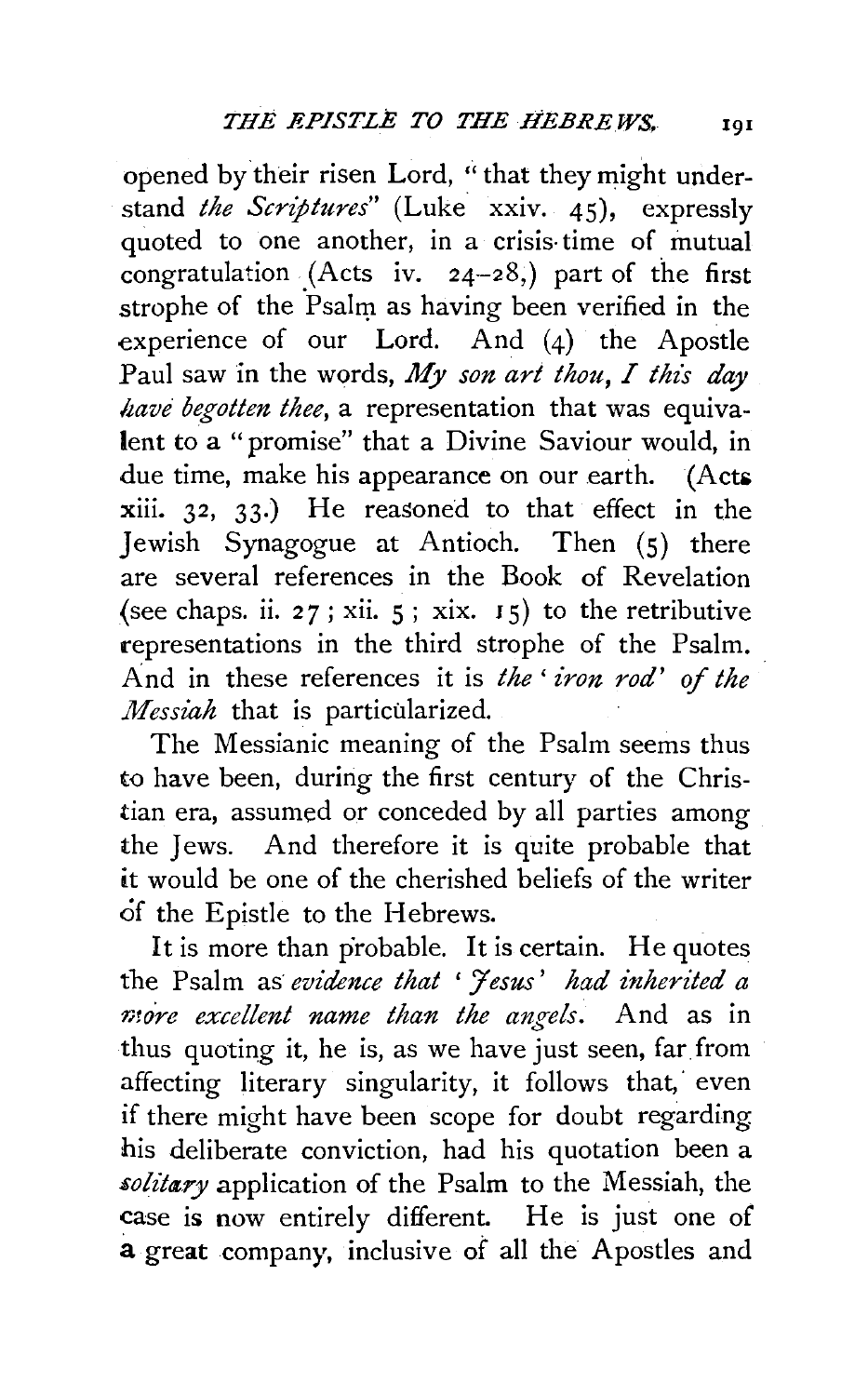opened by their risen Lord, "that they might understand *the Scriptures"* (Luke xxiv. 45), expressly quoted to one another, in a crisis-time of mutual congratulation (Acts iv.  $24-28$ ,) part of the first strophe of the Psalm as having been verified in the experience of our Lord. And (4) the Apostle Paul saw in the words, *My son art thou, I this day have begotten thee,* a representation that was equivalent to a "promise" that a Divine Saviour would, in due time, make his appearance on our earth. (Acts xiii. 32, 33·) He reasoned to that effect in the Jewish Synagogue at Antioch. Then (S) there are several references in the Book of Revelation (see chaps. ii. 27; xii.  $5$ ; xix.  $15$ ) to the retributive representations in the third strophe of the Psalm. And in these references it is *the' iron rod' of the Messiah* that is particularized.

The Messianic meaning of the Psalm seems thus to have been, during the first century of the Christian era, assumed or conceded by all parties among the Jews. And therefore it is quite probable that it would be one of the cherished beliefs of the writer of the Epistle to the Hebrews.

It is more than probable. It is certain. He quotes the Psalm as *evidence that 'Yesus' had inherited a more excellent name than the angels.* And as in thus quoting it, he is, as we have just seen, far from affecting literary singularity, it follows that, even if there might have been scope for doubt regarding his deliberate conviction, had his quotation been a solitary application of the Psalm to the Messiah, the case is now entirely different. He is just one of a great company, inclusive of all the Apostles and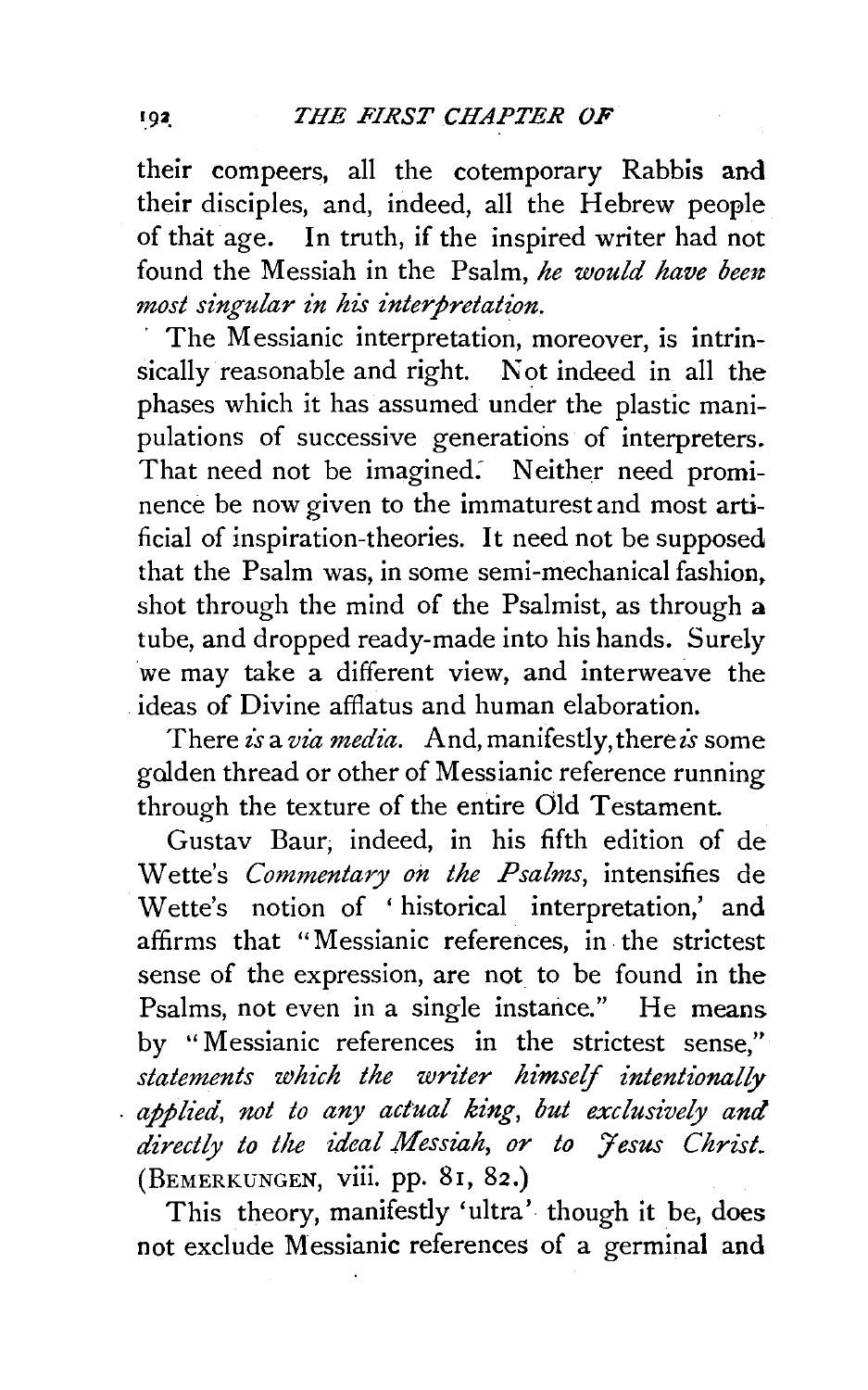their compeers, all the cotemporary Rabbis and their disciples, and, indeed, all the Hebrew people of that age. In truth, if the inspired writer had not found the Messiah in the Psalm, *he would have been most singular in his interpretation.* 

The Messianic interpretation, moreover, is intrinsically reasonable and right. Not indeed in all the phases which it has assumed under the plastic manipulations of successive generations of interpreters. That need not be imagined: Neither need prominence be now given to the immaturest and most artificial of inspiration-theories. It need not be supposed that the Psalm was, in some semi-mechanical fashion. shot through the mind of the Psalmist, as through a tube, and dropped ready-made into his hands. Surely we may take a different view, and interweave the ideas of Divine affiatus and human elaboration.

There *is a via media*. And, manifestly, there *is* some golden thread or other of Messianic reference running through the texture of the entire Old Testament.

Gustav Baur; indeed, in his fifth edition of de Wette's *Commentary on the Psalms,* intensifies de Wette's notion of ' historical interpretation,' and affirms that "Messianic references, in. the strictest sense of the expression, are not to be found in the Psalms, not even in a single instance." He means by '' Messianic references in the strictest sense," *statements which the writer himself intentionally applied, not to any actual king, but exclusively and directly to the ideal Messiah, or to Jesus Christ.*  (BEMERKUNGEN, viii. pp. 81, 82.)

This theory, manifestly 'ultra' though it be, does not exclude Messianic references of a germinal and

 $1.92$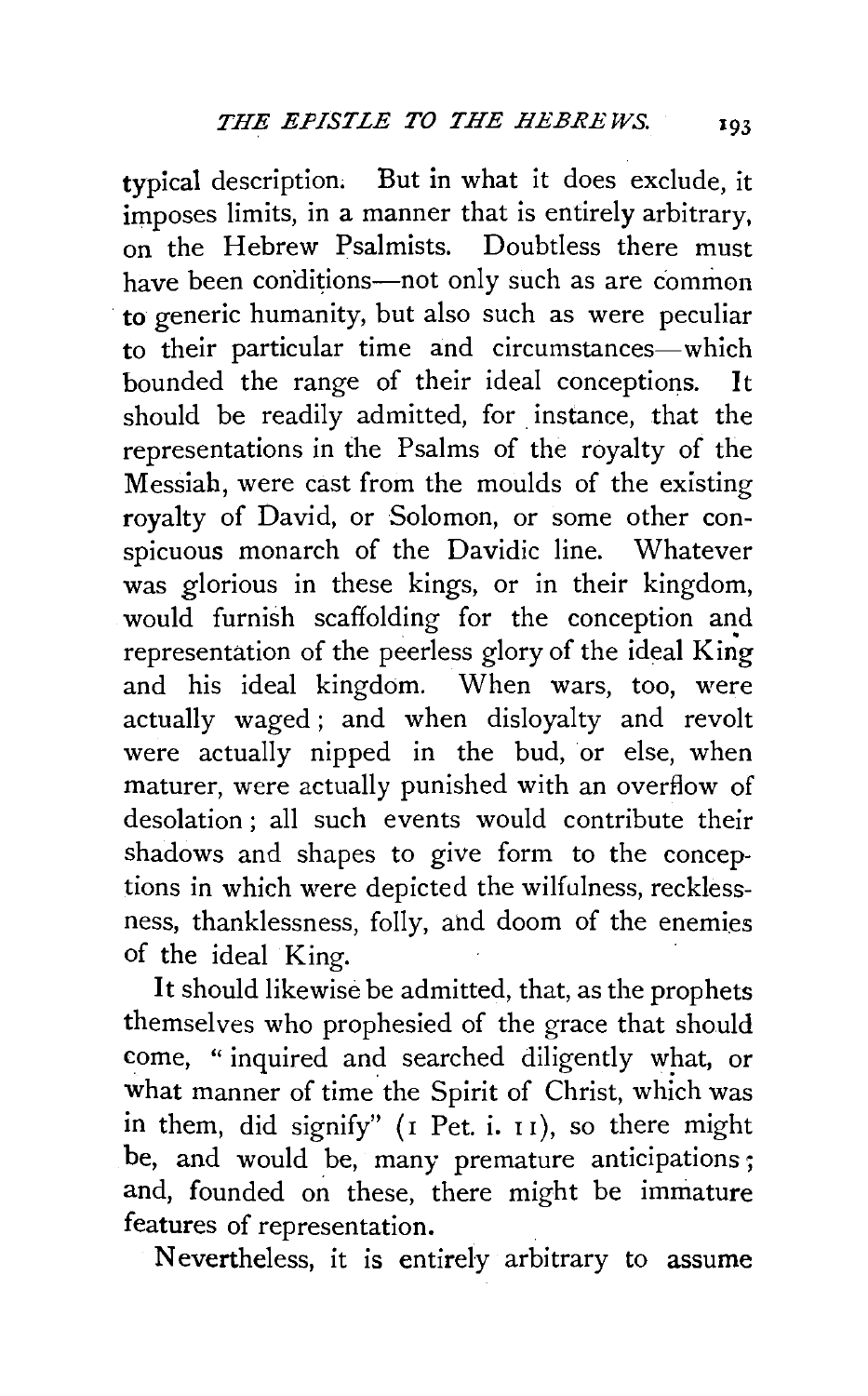typical description. But in what it does exclude, it imposes limits, in a manner that is entirely arbitrary, on the Hebrew Psalmists. Doubtless there must have been conditions—not only such as are common to generic humanity, but also such as were peculiar to their particular time and circumstances-which bounded the range of their ideal conceptions. It should be readily admitted, for instance, that the representations in the Psalms of the royalty of the Messiah, were cast from the moulds of the existing royalty of David, or Solomon, or some other conspicuous monarch of the Davidic line. Whatever was glorious in these kings, or in their kingdom, would furnish scaffolding for the conception and representation of the peerless glory of the ideal King and his ideal kingdom. When wars, too, were actually waged ; and when disloyalty and revolt were actually nipped in the bud, or else, when maturer, were actually punished with an overflow of desolation ; all such events would contribute their shadows and shapes to give form to the conceptions in which were depicted the wilfulness, recklessness, thanklessness, folly, ahd doom of the enemies of the ideal King.

It should likewise be admitted, that, as the prophets themselves who prophesied of the grace that should come, " inquired and searched diligently what, or what manner of time the Spirit of Christ, which was in them, did signify" (I Pet. i. II), so there might be, and would be, many premature anticipations; and, founded on these, there might be immature features of representation.

Nevertheless, it is entirely arbitrary to assume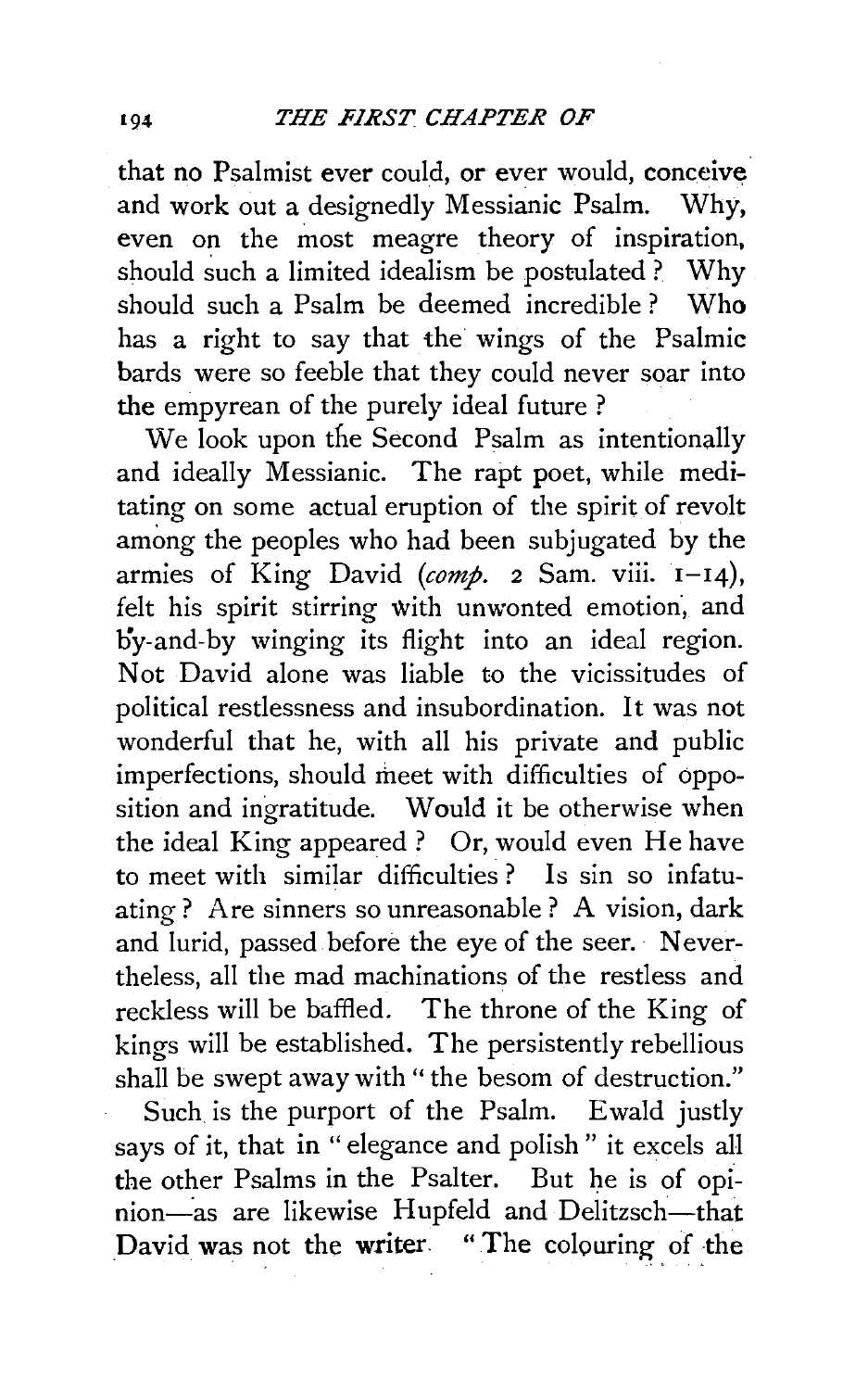that no Psalmist ever could, or ever would, conceive and work out a designedly Messianic Psalm. Why, even on the most meagre theory of inspiration, should such a limited idealism be postulated ? Why should such a Psalm be deemed incredible ? Who has a right to say that the wings of the Psalmic bards were so feeble that they could never soar into the empyrean of the purely ideal future ?

We look upon the Second Psalm as intentionally and ideally Messianic. The rapt poet, while meditating on some actual eruption of the spirit of revolt among the peoples who had been subjugated by the armies of King David *(comp.* 2 Sam. viii. 1-14), felt his spirit stirring with unwonted emotion, and by-and-by winging its flight into an ideal region. Not David alone was liable to the vicissitudes of political restlessness and insubordination. It was not wonderful that he, with all his private and public imperfections, should meet with difficulties of opposition and ingratitude. Would it be otherwise when the ideal King appeared? Or, would even He have to meet with similar difficulties ? Is sin so infatuating? Are sinners so unreasonable ? A vision, dark and lurid, passed before the eye of the seer. Nevertheless, all the mad machinations of the restless and reckless will be baffled. The throne of the King of kings will be established. The persistently rebellious shall be swept away with " the besom of destruction."

Such is the purport of the Psalm. Ewald justly says of it, that in " elegance and polish " it excels all the other Psalms in the Psalter. But he is of opinion-as are likewise Hupfeld and Delitzsch-that David was not the writer. "The colouring of the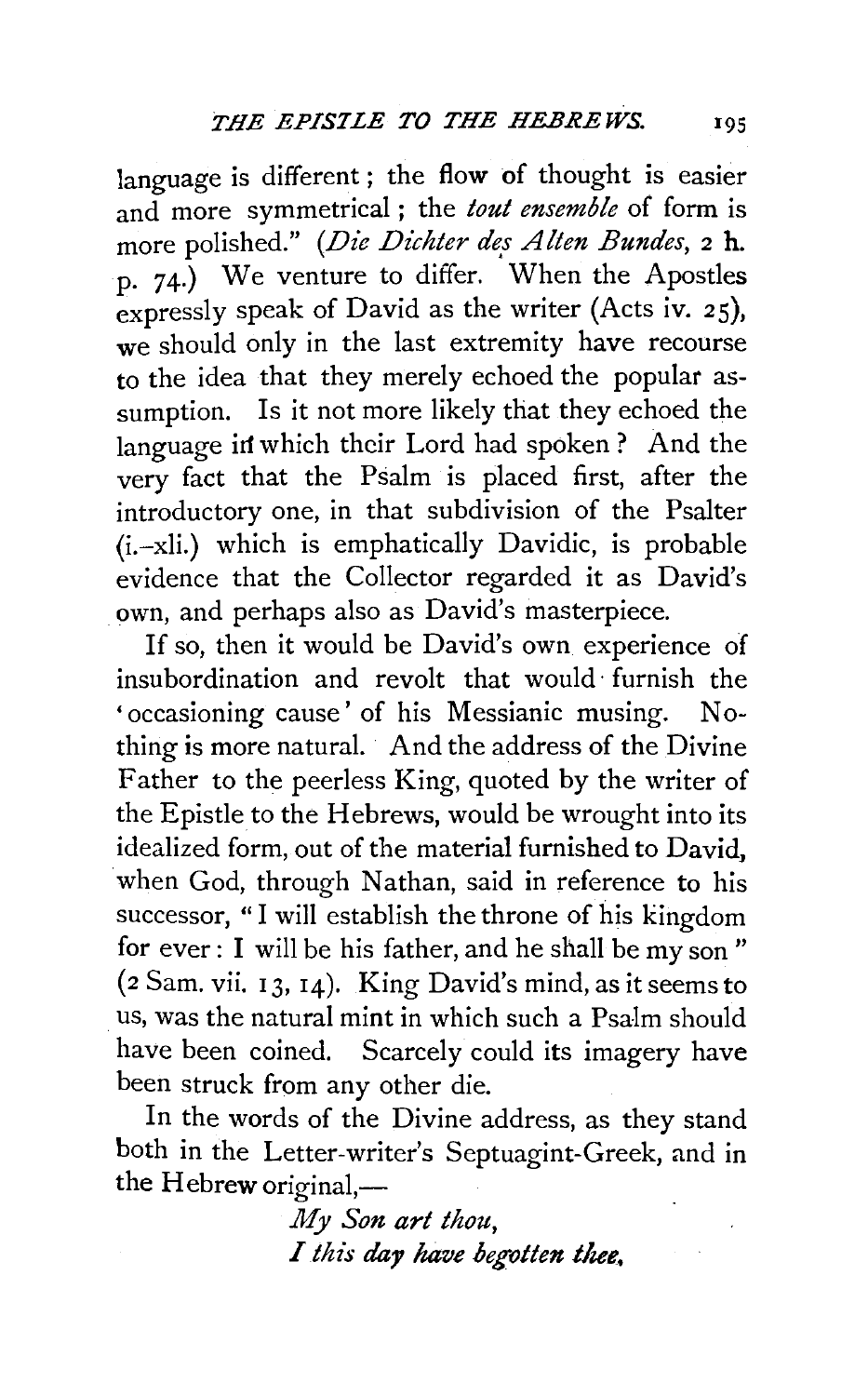language is different ; the flow of thought is easier and more symmetrical ; the *tout ensemble* of form is more polished." *(Die Dichter des Alten Bundes*, 2 h. p. 74.) We venture to differ. When the Apostles expressly speak of David as the writer (Acts iv. 25), we should only in the last extremity have recourse to the idea that they merely echoed the popular assumption. Is it not more likely that they echoed the language in which their Lord had spoken? And the very fact that the Psalm is placed first, after the introductory one, in that subdivision of the Psalter  $(i.-x)$  which is emphatically Davidic, is probable evidence that the Collector regarded it as David's own, and perhaps also as David's masterpiece.

If so, then it would be David's own experience of insubordination and revolt that would· furnish the 'occasioning cause' of his Messianic musing. Nothing is more natural. And the address of the Divine Father to the peerless King, quoted by the writer of the Epistle to the Hebrews, would be wrought into its idealized form, out of the material furnished to David. when God, through Nathan, said in reference to his successor, " I will establish the throne of his kingdom for ever : I will be his father, and he shall be my son " (2 Sam. vii. 13, 14). King David's mind, as it seems to us, was the natural mint in which such a Psalm should have been coined. Scarcely could its imagery have been struck from any other die.

In the words of the Divine address, as they stand both in the Letter-writer's Septuagint-Greek, and in the  $H$ ebrew original,—

> *My Son art thou,*  I this day have begotten thee.